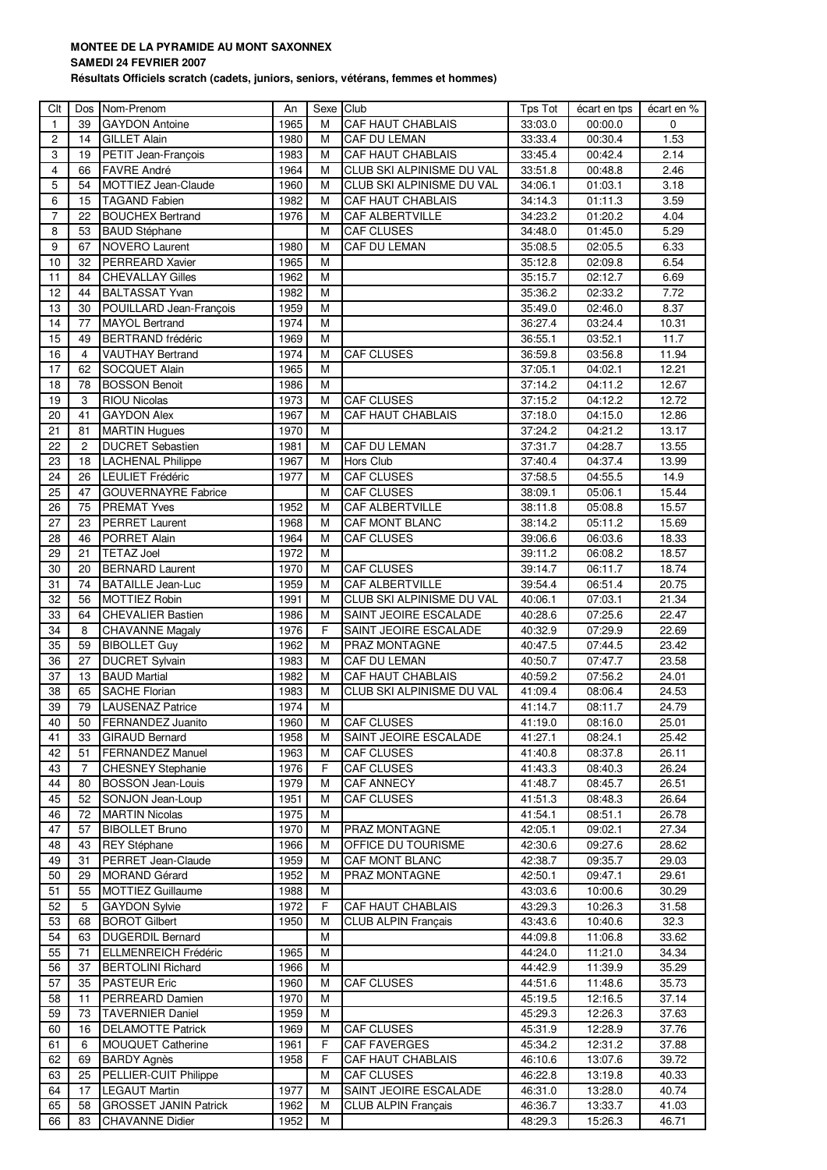## **MONTEE DE LA PYRAMIDE AU MONT SAXONNEX**

## **SAMEDI 24 FEVRIER 2007**

**Résultats Officiels scratch (cadets, juniors, seniors, vétérans, femmes et hommes)**

| Clt            |                | Dos Nom-Prenom               | An           | Sexe Club      |                            | Tps Tot | écart en tps | écart en %     |
|----------------|----------------|------------------------------|--------------|----------------|----------------------------|---------|--------------|----------------|
| $\mathbf{1}$   | 39             | <b>GAYDON Antoine</b>        | 1965         | М              | <b>CAF HAUT CHABLAIS</b>   | 33:03.0 | 00:00.0      | $\mathbf 0$    |
| $\overline{c}$ | 14             | <b>GILLET Alain</b>          | 1980         | М              | <b>CAF DU LEMAN</b>        | 33:33.4 | 00:30.4      | 1.53           |
| 3              | 19             | PETIT Jean-François          | 1983         | М              | <b>CAF HAUT CHABLAIS</b>   | 33:45.4 | 00:42.4      | 2.14           |
| 4              | 66             | <b>FAVRE André</b>           | 1964         | М              | CLUB SKI ALPINISME DU VAL  | 33.51.8 | 00:48.8      | 2.46           |
| 5              | 54             | MOTTIEZ Jean-Claude          | 1960         | М              | CLUB SKI ALPINISME DU VAL  | 34:06.1 | 01:03.1      | 3.18           |
| 6              | 15             | <b>TAGAND Fabien</b>         | 1982         | М              | CAF HAUT CHABLAIS          | 34:14.3 | 01:11.3      | 3.59           |
| $\overline{7}$ | 22             | <b>BOUCHEX Bertrand</b>      | 1976         | М              | <b>CAF ALBERTVILLE</b>     | 34:23.2 | 01:20.2      | 4.04           |
| 8              | 53             | <b>BAUD Stéphane</b>         |              | М              | <b>CAF CLUSES</b>          | 34:48.0 | 01:45.0      | 5.29           |
| 9              | 67             | <b>NOVERO Laurent</b>        | 1980         | M              | <b>CAF DU LEMAN</b>        | 35:08.5 | 02:05.5      | 6.33           |
| 10             | 32             | PERREARD Xavier              | 1965         | M              |                            | 35:12.8 | 02:09.8      | 6.54           |
| 11             | 84             | <b>CHEVALLAY Gilles</b>      | 1962         | М              |                            | 35:15.7 | 02:12.7      | 6.69           |
| 12             | 44             | <b>BALTASSAT Yvan</b>        | 1982         | M              |                            | 35:36.2 | 02:33.2      | 7.72           |
| 13             | 30             | POUILLARD Jean-François      | 1959         | М              |                            | 35:49.0 | 02:46.0      | 8.37           |
| 14             | 77             | MAYOL Bertrand               | 1974         | M              |                            | 36:27.4 | 03:24.4      | 10.31          |
| 15             | 49             | <b>BERTRAND</b> frédéric     | 1969         | M              |                            | 36:55.1 | 03:52.1      | 11.7           |
| 16             | $\overline{4}$ | <b>VAUTHAY Bertrand</b>      | 1974         | M              | <b>CAF CLUSES</b>          | 36:59.8 | 03:56.8      | 11.94          |
| 17             | 62             | <b>SOCQUET Alain</b>         | 1965         | M              |                            | 37:05.1 | 04:02.1      | 12.21          |
| 18             | 78             | <b>BOSSON Benoit</b>         | 1986         | M              |                            | 37:14.2 | 04:11.2      | 12.67          |
| 19             | 3              | <b>RIOU Nicolas</b>          | 1973         | M              | CAF CLUSES                 | 37:15.2 | 04:12.2      | 12.72          |
| 20             | 41             | <b>GAYDON Alex</b>           | 1967         | M              | <b>CAF HAUT CHABLAIS</b>   | 37:18.0 | 04:15.0      | 12.86          |
| 21             | 81             | <b>MARTIN Hugues</b>         | 1970         | M              |                            | 37:24.2 | 04:21.2      | 13.17          |
| 22             | $\overline{c}$ | <b>DUCRET Sebastien</b>      | 1981         | M              | <b>CAF DU LEMAN</b>        | 37:31.7 | 04:28.7      | 13.55          |
| 23             | 18             | <b>LACHENAL Philippe</b>     | 1967         | M              | Hors Club                  | 37:40.4 | 04:37.4      | 13.99          |
| 24             | 26             | <b>LEULIET Frédéric</b>      | 1977         | M              | <b>CAF CLUSES</b>          | 37:58.5 | 04:55.5      | 14.9           |
| 25             | 47             | <b>GOUVERNAYRE Fabrice</b>   |              | M              | <b>CAF CLUSES</b>          | 38:09.1 | 05:06.1      | 15.44          |
| 26             | 75             | <b>PREMAT Yves</b>           | 1952         | M              | <b>CAF ALBERTVILLE</b>     | 38:11.8 | 05:08.8      | 15.57          |
| 27             | 23             | <b>PERRET Laurent</b>        | 1968         | M              | CAF MONT BLANC             | 38:14.2 | 05:11.2      | 15.69          |
| 28             | 46             | <b>PORRET Alain</b>          | 1964         | M              | <b>CAF CLUSES</b>          | 39:06.6 | 06:03.6      | 18.33          |
| 29             | 21             | <b>TETAZ Joel</b>            | 1972         | М              |                            | 39:11.2 | 06:08.2      | 18.57          |
| 30             | 20             | <b>BERNARD Laurent</b>       | 1970         | M              | <b>CAF CLUSES</b>          | 39:14.7 | 06:11.7      | 18.74          |
| 31             | 74             | <b>BATAILLE Jean-Luc</b>     | 1959         | M              | <b>CAF ALBERTVILLE</b>     | 39:54.4 | 06:51.4      | 20.75          |
| 32             | 56             | <b>MOTTIEZ Robin</b>         | 1991         | М              | CLUB SKI ALPINISME DU VAL  | 40:06.1 | 07:03.1      | 21.34          |
| 33             | 64             | <b>CHEVALIER Bastien</b>     | 1986         | м              | SAINT JEOIRE ESCALADE      | 40:28.6 | 07:25.6      | 22.47          |
| 34             | 8              | CHAVANNE Magaly              | 1976         | F              | SAINT JEOIRE ESCALADE      | 40:32.9 | 07:29.9      | 22.69          |
| 35             | 59             | <b>BIBOLLET Guy</b>          | 1962         | М              | PRAZ MONTAGNE              | 40:47.5 | 07:44.5      | 23.42          |
| 36             | 27             | <b>DUCRET Sylvain</b>        | 1983         | M              | CAF DU LEMAN               | 40:50.7 | 07:47.7      | 23.58          |
| 37             | 13             | <b>BAUD Martial</b>          | 1982         | M              | CAF HAUT CHABLAIS          | 40:59.2 | 07:56.2      | 24.01          |
| 38             | 65             | <b>SACHE Florian</b>         | 1983         | M              | CLUB SKI ALPINISME DU VAL  | 41:09.4 | 08:06.4      | 24.53          |
| 39             | 79             | <b>LAUSENAZ Patrice</b>      |              | M              |                            | 41:14.7 |              |                |
| 40             | 50             | <b>FERNANDEZ Juanito</b>     | 1974<br>1960 | $\overline{M}$ | <b>CAF CLUSES</b>          |         | 08:11.7      | 24.79<br>25.01 |
|                |                |                              |              |                |                            | 41:19.0 | 08:16.0      |                |
| 41             | 33             | <b>GIRAUD Bernard</b>        | 1958         | М              | SAINT JEOIRE ESCALADE      | 41:27.1 | 08:24.1      | 25.42          |
| 42             | 51             | <b>FERNANDEZ Manuel</b>      | 1963         | Μ              | <b>CAF CLUSES</b>          | 41:40.8 | 08:37.8      | 26.11          |
| 43             | 7              | <b>CHESNEY Stephanie</b>     | 1976         | F              | <b>CAF CLUSES</b>          | 41:43.3 | 08:40.3      | 26.24          |
| 44             | 80             | <b>BOSSON Jean-Louis</b>     | 1979         | М              | <b>CAF ANNECY</b>          | 41:48.7 | 08:45.7      | 26.51          |
| 45             | 52             | SONJON Jean-Loup             | 1951         | М              | CAF CLUSES                 | 41:51.3 | 08:48.3      | 26.64          |
| 46             | 72             | <b>MARTIN Nicolas</b>        | 1975         | М              |                            | 41:54.1 | 08:51.1      | 26.78          |
| 47             | 57             | <b>BIBOLLET Bruno</b>        | 1970         | М              | PRAZ MONTAGNE              | 42:05.1 | 09:02.1      | 27.34          |
| 48             | 43             | <b>REY Stéphane</b>          | 1966         | Μ              | OFFICE DU TOURISME         | 42:30.6 | 09:27.6      | 28.62          |
| 49             | 31             | PERRET Jean-Claude           | 1959         | Μ              | CAF MONT BLANC             | 42:38.7 | 09:35.7      | 29.03          |
| 50             | 29             | <b>MORAND Gérard</b>         | 1952         | М              | PRAZ MONTAGNE              | 42:50.1 | 09:47.1      | 29.61          |
| 51             | 55             | MOTTIEZ Guillaume            | 1988         | М              |                            | 43:03.6 | 10:00.6      | 30.29          |
| 52             | 5              | <b>GAYDON Sylvie</b>         | 1972         | F.             | CAF HAUT CHABLAIS          | 43:29.3 | 10:26.3      | 31.58          |
| 53             | 68             | <b>BOROT Gilbert</b>         | 1950         | M              | <b>CLUB ALPIN Français</b> | 43:43.6 | 10:40.6      | 32.3           |
| 54             | 63             | <b>DUGERDIL Bernard</b>      |              | Μ              |                            | 44:09.8 | 11:06.8      | 33.62          |
| 55             | 71             | <b>ELLMENREICH Frédéric</b>  | 1965         | М              |                            | 44:24.0 | 11:21.0      | 34.34          |
| 56             | 37             | <b>BERTOLINI Richard</b>     | 1966         | Μ              |                            | 44:42.9 | 11:39.9      | 35.29          |
| 57             | 35             | <b>PASTEUR Eric</b>          | 1960         | М              | <b>CAF CLUSES</b>          | 44:51.6 | 11:48.6      | 35.73          |
| 58             | 11             | PERREARD Damien              | 1970         | М              |                            | 45:19.5 | 12:16.5      | 37.14          |
| 59             | 73             | <b>TAVERNIER Daniel</b>      | 1959         | Μ              |                            | 45:29.3 | 12:26.3      | 37.63          |
| 60             | 16             | <b>DELAMOTTE Patrick</b>     | 1969         | Μ              | <b>CAF CLUSES</b>          | 45:31.9 | 12:28.9      | 37.76          |
| 61             | 6              | <b>MOUQUET Catherine</b>     | 1961         | F              | <b>CAF FAVERGES</b>        | 45:34.2 | 12:31.2      | 37.88          |
| 62             | 69             | <b>BARDY Agnès</b>           | 1958         | F              | CAF HAUT CHABLAIS          | 46:10.6 | 13:07.6      | 39.72          |
| 63             | 25             | PELLIER-CUIT Philippe        |              | М              | CAF CLUSES                 | 46:22.8 | 13:19.8      | 40.33          |
| 64             | 17             | <b>LEGAUT Martin</b>         | 1977         | M              | SAINT JEOIRE ESCALADE      | 46:31.0 | 13:28.0      | 40.74          |
| 65             | 58             | <b>GROSSET JANIN Patrick</b> | 1962         | М              | <b>CLUB ALPIN Français</b> | 46:36.7 | 13:33.7      | 41.03          |
| 66             | 83             | <b>CHAVANNE Didier</b>       | 1952         | M              |                            | 48:29.3 | 15:26.3      | 46.71          |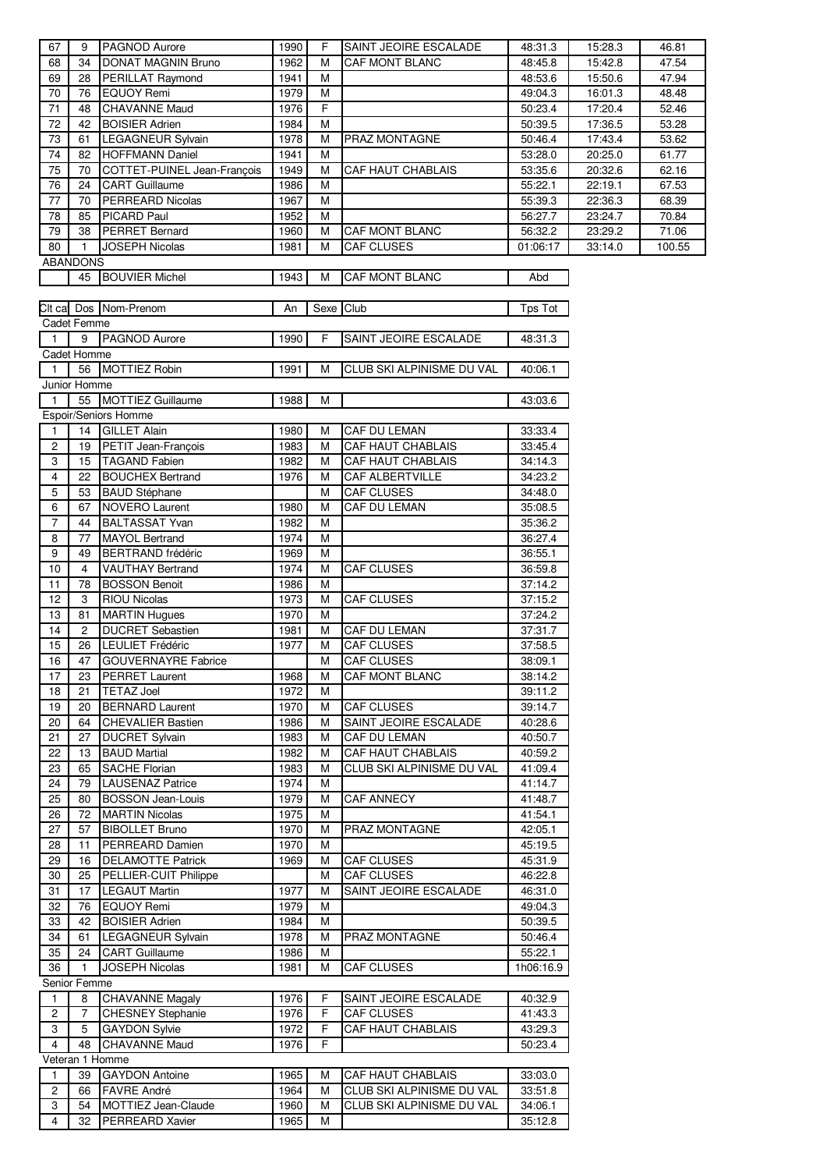| 67                  | 9               | PAGNOD Aurore                                  | 1990         | F.        | SAINT JEOIRE ESCALADE     | 48:31.3            | 15:28.3            | 46.81          |
|---------------------|-----------------|------------------------------------------------|--------------|-----------|---------------------------|--------------------|--------------------|----------------|
| 68                  | 34              | <b>DONAT MAGNIN Bruno</b>                      | 1962         | M         | CAF MONT BLANC            | 48:45.8            | 15:42.8            | 47.54          |
| 69                  | 28              | PERILLAT Raymond                               | 1941         | M         |                           | 48:53.6            | 15:50.6            | 47.94          |
| 70                  | 76              | EQUOY Remi                                     | 1979         | М         |                           | 49:04.3            | 16:01.3            | 48.48          |
| 71                  | 48              | <b>CHAVANNE Maud</b>                           | 1976         | F         |                           | 50:23.4            | 17:20.4            | 52.46          |
| 72                  | 42              | <b>BOISIER Adrien</b>                          | 1984         | M         |                           | 50:39.5            | 17:36.5            | 53.28          |
| 73                  | 61              | <b>LEGAGNEUR Sylvain</b>                       | 1978         | M         | PRAZ MONTAGNE             | 50:46.4            | 17:43.4            | 53.62          |
| 74                  | 82              | <b>HOFFMANN Daniel</b>                         | 1941         | M         |                           | 53:28.0            | 20:25.0            | 61.77          |
| 75                  | 70              | COTTET-PUINEL Jean-François                    | 1949         | M         | CAF HAUT CHABLAIS         | 53:35.6            | 20:32.6            | 62.16          |
| 76                  | 24              | <b>CART Guillaume</b>                          | 1986         | M         |                           | 55:22.1            | 22:19.1            | 67.53          |
| 77                  | 70              | <b>PERREARD Nicolas</b><br><b>PICARD Paul</b>  | 1967         | М         |                           | 55:39.3            | 22:36.3            | 68.39          |
| 78<br>79            | 85<br>38        | <b>PERRET Bernard</b>                          | 1952<br>1960 | М<br>M    | CAF MONT BLANC            | 56:27.7<br>56:32.2 | 23:24.7<br>23:29.2 | 70.84<br>71.06 |
| 80                  | $\mathbf{1}$    | <b>JOSEPH Nicolas</b>                          | 1981         | M         | <b>CAF CLUSES</b>         | 01:06:17           | 33:14.0            | 100.55         |
|                     | <b>ABANDONS</b> |                                                |              |           |                           |                    |                    |                |
|                     | 45              | <b>BOUVIER Michel</b>                          | 1943         | M         | CAF MONT BLANC            | Abd                |                    |                |
|                     |                 |                                                |              |           |                           |                    |                    |                |
|                     |                 | Cit ca Dos Nom-Prenom                          | An           | Sexe Club |                           | Tps Tot            |                    |                |
|                     | Cadet Femme     |                                                |              |           |                           |                    |                    |                |
| $\overline{1}$      | 9               | <b>PAGNOD Aurore</b>                           | 1990         | F         | SAINT JEOIRE ESCALADE     | 48:31.3            |                    |                |
|                     | Cadet Homme     |                                                |              |           |                           |                    |                    |                |
| $\overline{1}$      | 56              | <b>MOTTIEZ Robin</b>                           | 1991         | М         | CLUB SKI ALPINISME DU VAL | 40:06.1            |                    |                |
|                     | Junior Homme    |                                                |              |           |                           |                    |                    |                |
| $\overline{1}$      | 55              | <b>MOTTIEZ Guillaume</b>                       | 1988         | М         |                           | 43:03.6            |                    |                |
|                     |                 | Espoir/Seniors Homme                           |              |           |                           |                    |                    |                |
| $\mathbf{1}$        | 14              | <b>GILLET Alain</b>                            | 1980         | M         | CAF DU LEMAN              | 33:33.4            |                    |                |
| $\sqrt{2}$          | 19              | PETIT Jean-François                            | 1983         | M         | CAF HAUT CHABLAIS         | 33:45.4            |                    |                |
| 3                   | 15              | <b>TAGAND Fabien</b>                           | 1982         | M         | CAF HAUT CHABLAIS         | 34:14.3            |                    |                |
| $\overline{4}$      | 22              | <b>BOUCHEX Bertrand</b>                        | 1976         | M         | CAF ALBERTVILLE           | 34:23.2            |                    |                |
| 5                   | 53              | <b>BAUD Stéphane</b>                           |              | Μ         | <b>CAF CLUSES</b>         | 34:48.0            |                    |                |
| 6<br>$\overline{7}$ | 67              | <b>NOVERO Laurent</b>                          | 1980<br>1982 | M         | CAF DU LEMAN              | 35:08.5            |                    |                |
|                     | 44<br>77        | <b>BALTASSAT Yvan</b><br><b>MAYOL Bertrand</b> | 1974         | М         |                           | 35:36.2            |                    |                |
| 8<br>9              | 49              | <b>BERTRAND</b> frédéric                       | 1969         | М<br>М    |                           | 36:27.4<br>36:55.1 |                    |                |
| 10                  | 4               | VAUTHAY Bertrand                               | 1974         | M         | CAF CLUSES                | 36.59.8            |                    |                |
| 11                  | 78              | <b>BOSSON Benoit</b>                           | 1986         | М         |                           | 37:14.2            |                    |                |
| 12                  | 3               | <b>RIOU Nicolas</b>                            | 1973         | M         | <b>CAF CLUSES</b>         | 37:15.2            |                    |                |
| 13                  | 81              | <b>MARTIN Hugues</b>                           | 1970         | M         |                           | 37:24.2            |                    |                |
| 14                  | $\overline{c}$  | <b>DUCRET Sebastien</b>                        | 1981         | M         | CAF DU LEMAN              | 37:31.7            |                    |                |
| 15                  | 26              | LEULIET Frédéric                               | 1977         | M         | <b>CAF CLUSES</b>         | 37:58.5            |                    |                |
| 16                  | 47              | <b>GOUVERNAYRE Fabrice</b>                     |              | M         | <b>CAF CLUSES</b>         | 38:09.1            |                    |                |
| 17                  | 23              | <b>PERRET Laurent</b>                          | 1968         | м         | CAF MONT BLANC            | 38:14.2            |                    |                |
| 18                  | 21              | <b>TETAZ Joel</b>                              | 1972         | М         |                           | 39:11.2            |                    |                |
| 19                  | 20              | <b>BERNARD Laurent</b>                         | 1970         | М         | CAF CLUSES                | 39:14.7            |                    |                |
| 20                  | 64              | <b>CHEVALIER Bastien</b>                       | 1986         | M         | SAINT JEOIRE ESCALADE     | 40:28.6            |                    |                |
| 21                  | 27              | <b>DUCRET Sylvain</b>                          | 1983         | M         | CAF DU LEMAN              | 40:50.7            |                    |                |
| 22                  | 13              | <b>BAUD Martial</b>                            | 1982         | Μ         | CAF HAUT CHABLAIS         | 40:59.2            |                    |                |
| 23                  | 65              | <b>SACHE Florian</b>                           | 1983         | M         | CLUB SKI ALPINISME DU VAL | 41:09.4            |                    |                |
| 24                  | 79              | <b>LAUSENAZ Patrice</b>                        | 1974         | М         |                           | 41:14.7            |                    |                |
| 25                  | 80              | <b>BOSSON Jean-Louis</b>                       | 1979         | Μ         | <b>CAF ANNECY</b>         | 41:48.7            |                    |                |
| 26                  | 72              | <b>MARTIN Nicolas</b>                          | 1975         | M         |                           | 41:54.1            |                    |                |
| 27                  | 57              | <b>BIBOLLET Bruno</b>                          | 1970         | M         | PRAZ MONTAGNE             | 42:05.1            |                    |                |
| 28<br>29            | 11              | PERREARD Damien<br><b>DELAMOTTE Patrick</b>    | 1970<br>1969 | М         | <b>CAF CLUSES</b>         | 45:19.5<br>45:31.9 |                    |                |
|                     | 16<br>25        | PELLIER-CUIT Philippe                          |              | М<br>Μ    | CAF CLUSES                |                    |                    |                |
| 30<br>31            | 17              | <b>LEGAUT Martin</b>                           | 1977         | M         | SAINT JEOIRE ESCALADE     | 46:22.8<br>46:31.0 |                    |                |
| 32                  | 76              | EQUOY Remi                                     | 1979         | М         |                           | 49:04.3            |                    |                |
| 33                  | 42              | <b>BOISIER Adrien</b>                          | 1984         | М         |                           | 50:39.5            |                    |                |
| 34                  | 61              | <b>LEGAGNEUR Sylvain</b>                       | 1978         | M         | PRAZ MONTAGNE             | 50:46.4            |                    |                |
| 35                  | 24              | <b>CART Guillaume</b>                          | 1986         | М         |                           | 55:22.1            |                    |                |
| 36                  | $\mathbf{1}$    | JOSEPH Nicolas                                 | 1981         | Μ         | <b>CAF CLUSES</b>         | 1h06:16.9          |                    |                |
| Senior Femme        |                 |                                                |              |           |                           |                    |                    |                |
| $\mathbf{1}$        | 8               | <b>CHAVANNE Magaly</b>                         | 1976         | F         | SAINT JEOIRE ESCALADE     | 40:32.9            |                    |                |
| $\overline{c}$      | 7               | <b>CHESNEY Stephanie</b>                       | 1976         | F         | CAF CLUSES                | 41:43.3            |                    |                |
| 3                   | 5               | <b>GAYDON Sylvie</b>                           | 1972         | F         | CAF HAUT CHABLAIS         | 43:29.3            |                    |                |
| 4                   | 48              | <b>CHAVANNE Maud</b>                           | 1976         | F         |                           | 50:23.4            |                    |                |
|                     | Veteran 1 Homme |                                                |              |           |                           |                    |                    |                |
| 1                   | 39              | <b>GAYDON Antoine</b>                          | 1965         | M         | CAF HAUT CHABLAIS         | 33:03.0            |                    |                |
| $\overline{c}$      | 66              | <b>FAVRE André</b>                             | 1964         | M         | CLUB SKI ALPINISME DU VAL | 33:51.8            |                    |                |
| 3                   | 54              | MOTTIEZ Jean-Claude                            | 1960         | M         | CLUB SKI ALPINISME DU VAL | 34:06.1            |                    |                |
| $\overline{4}$      | 32              | PERREARD Xavier                                | 1965         | М         |                           | 35:12.8            |                    |                |